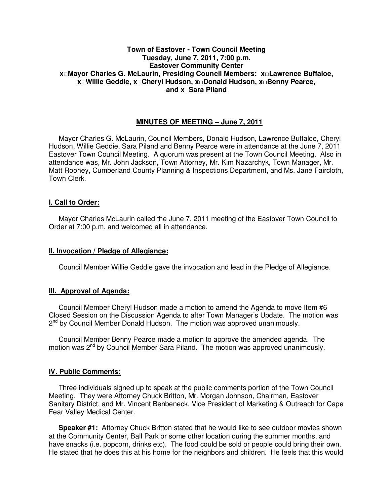# **Town of Eastover - Town Council Meeting Tuesday, June 7, 2011, 7:00 p.m. Eastover Community Center x□Mayor Charles G. McLaurin, Presiding Council Members: x□Lawrence Buffaloe, x□Willie Geddie, x□Cheryl Hudson, x□Donald Hudson, x□Benny Pearce, and x□Sara Piland**

# **MINUTES OF MEETING – June 7, 2011**

Mayor Charles G. McLaurin, Council Members, Donald Hudson, Lawrence Buffaloe, Cheryl Hudson, Willie Geddie, Sara Piland and Benny Pearce were in attendance at the June 7, 2011 Eastover Town Council Meeting. A quorum was present at the Town Council Meeting. Also in attendance was, Mr. John Jackson, Town Attorney, Mr. Kim Nazarchyk, Town Manager, Mr. Matt Rooney, Cumberland County Planning & Inspections Department, and Ms. Jane Faircloth, Town Clerk.

### **I. Call to Order:**

Mayor Charles McLaurin called the June 7, 2011 meeting of the Eastover Town Council to Order at 7:00 p.m. and welcomed all in attendance.

#### **II. Invocation / Pledge of Allegiance:**

Council Member Willie Geddie gave the invocation and lead in the Pledge of Allegiance.

### **III. Approval of Agenda:**

 Council Member Cheryl Hudson made a motion to amend the Agenda to move Item #6 Closed Session on the Discussion Agenda to after Town Manager's Update. The motion was 2<sup>nd</sup> by Council Member Donald Hudson. The motion was approved unanimously.

 Council Member Benny Pearce made a motion to approve the amended agenda. The motion was  $2^{nd}$  by Council Member Sara Piland. The motion was approved unanimously.

### **IV. Public Comments:**

 Three individuals signed up to speak at the public comments portion of the Town Council Meeting. They were Attorney Chuck Britton, Mr. Morgan Johnson, Chairman, Eastover Sanitary District, and Mr. Vincent Benbeneck, Vice President of Marketing & Outreach for Cape Fear Valley Medical Center.

 **Speaker #1:** Attorney Chuck Britton stated that he would like to see outdoor movies shown at the Community Center, Ball Park or some other location during the summer months, and have snacks (i.e. popcorn, drinks etc). The food could be sold or people could bring their own. He stated that he does this at his home for the neighbors and children. He feels that this would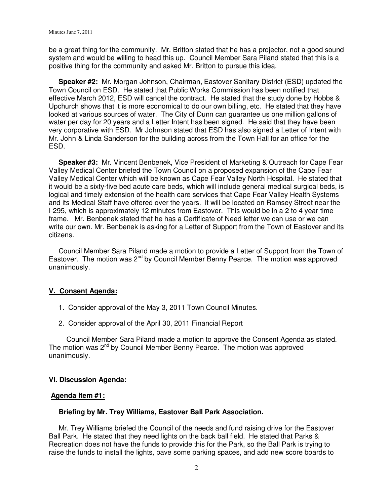be a great thing for the community. Mr. Britton stated that he has a projector, not a good sound system and would be willing to head this up. Council Member Sara Piland stated that this is a positive thing for the community and asked Mr. Britton to pursue this idea.

 **Speaker #2:** Mr. Morgan Johnson, Chairman, Eastover Sanitary District (ESD) updated the Town Council on ESD. He stated that Public Works Commission has been notified that effective March 2012, ESD will cancel the contract. He stated that the study done by Hobbs & Upchurch shows that it is more economical to do our own billing, etc. He stated that they have looked at various sources of water. The City of Dunn can guarantee us one million gallons of water per day for 20 years and a Letter Intent has been signed. He said that they have been very corporative with ESD. Mr Johnson stated that ESD has also signed a Letter of Intent with Mr. John & Linda Sanderson for the building across from the Town Hall for an office for the ESD.

 **Speaker #3:** Mr. Vincent Benbenek, Vice President of Marketing & Outreach for Cape Fear Valley Medical Center briefed the Town Council on a proposed expansion of the Cape Fear Valley Medical Center which will be known as Cape Fear Valley North Hospital. He stated that it would be a sixty-five bed acute care beds, which will include general medical surgical beds, is logical and timely extension of the health care services that Cape Fear Valley Health Systems and its Medical Staff have offered over the years. It will be located on Ramsey Street near the I-295, which is approximately 12 minutes from Eastover. This would be in a 2 to 4 year time frame. Mr. Benbenek stated that he has a Certificate of Need letter we can use or we can write our own. Mr. Benbenek is asking for a Letter of Support from the Town of Eastover and its citizens.

 Council Member Sara Piland made a motion to provide a Letter of Support from the Town of Eastover. The motion was  $2^{nd}$  by Council Member Benny Pearce. The motion was approved unanimously.

### **V. Consent Agenda:**

- 1. Consider approval of the May 3, 2011 Town Council Minutes.
- 2. Consider approval of the April 30, 2011 Financial Report

Council Member Sara Piland made a motion to approve the Consent Agenda as stated. The motion was  $2^{nd}$  by Council Member Benny Pearce. The motion was approved unanimously.

### **VI. Discussion Agenda:**

### **Agenda Item #1:**

### **Briefing by Mr. Trey Williams, Eastover Ball Park Association.**

Mr. Trey Williams briefed the Council of the needs and fund raising drive for the Eastover Ball Park. He stated that they need lights on the back ball field. He stated that Parks & Recreation does not have the funds to provide this for the Park, so the Ball Park is trying to raise the funds to install the lights, pave some parking spaces, and add new score boards to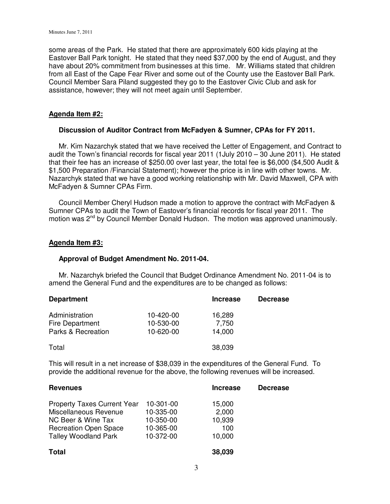some areas of the Park. He stated that there are approximately 600 kids playing at the Eastover Ball Park tonight. He stated that they need \$37,000 by the end of August, and they have about 20% commitment from businesses at this time. Mr. Williams stated that children from all East of the Cape Fear River and some out of the County use the Eastover Ball Park. Council Member Sara Piland suggested they go to the Eastover Civic Club and ask for assistance, however; they will not meet again until September.

### **Agenda Item #2:**

#### **Discussion of Auditor Contract from McFadyen & Sumner, CPAs for FY 2011.**

 Mr. Kim Nazarchyk stated that we have received the Letter of Engagement, and Contract to audit the Town's financial records for fiscal year 2011 (1July 2010 – 30 June 2011). He stated that their fee has an increase of \$250.00 over last year, the total fee is \$6,000 (\$4,500 Audit & \$1,500 Preparation /Financial Statement); however the price is in line with other towns. Mr. Nazarchyk stated that we have a good working relationship with Mr. David Maxwell, CPA with McFadyen & Sumner CPAs Firm.

 Council Member Cheryl Hudson made a motion to approve the contract with McFadyen & Sumner CPAs to audit the Town of Eastover's financial records for fiscal year 2011. The motion was  $2^{nd}$  by Council Member Donald Hudson. The motion was approved unanimously.

#### **Agenda Item #3:**

#### **Approval of Budget Amendment No. 2011-04.**

 Mr. Nazarchyk briefed the Council that Budget Ordinance Amendment No. 2011-04 is to amend the General Fund and the expenditures are to be changed as follows:

| <b>Department</b>  |           | <b>Increase</b> | <b>Decrease</b> |
|--------------------|-----------|-----------------|-----------------|
| Administration     | 10-420-00 | 16,289          |                 |
| Fire Department    | 10-530-00 | 7,750           |                 |
| Parks & Recreation | 10-620-00 | 14,000          |                 |
| Total              |           | 38,039          |                 |

This will result in a net increase of \$38,039 in the expenditures of the General Fund. To provide the additional revenue for the above, the following revenues will be increased.

| <b>Revenues</b>                    |           | <b>Increase</b> | <b>Decrease</b> |
|------------------------------------|-----------|-----------------|-----------------|
| <b>Property Taxes Current Year</b> | 10-301-00 | 15,000          |                 |
| Miscellaneous Revenue              | 10-335-00 | 2,000           |                 |
| NC Beer & Wine Tax                 | 10-350-00 | 10,939          |                 |
| <b>Recreation Open Space</b>       | 10-365-00 | 100             |                 |
| <b>Talley Woodland Park</b>        | 10-372-00 | 10,000          |                 |
| <b>Total</b>                       |           | 38,039          |                 |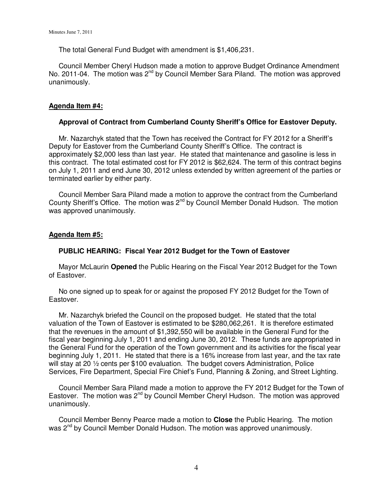The total General Fund Budget with amendment is \$1,406,231.

 Council Member Cheryl Hudson made a motion to approve Budget Ordinance Amendment No. 2011-04. The motion was  $2^{nd}$  by Council Member Sara Piland. The motion was approved unanimously.

# **Agenda Item #4:**

## **Approval of Contract from Cumberland County Sheriff's Office for Eastover Deputy.**

 Mr. Nazarchyk stated that the Town has received the Contract for FY 2012 for a Sheriff's Deputy for Eastover from the Cumberland County Sheriff's Office. The contract is approximately \$2,000 less than last year. He stated that maintenance and gasoline is less in this contract. The total estimated cost for FY 2012 is \$62,624. The term of this contract begins on July 1, 2011 and end June 30, 2012 unless extended by written agreement of the parties or terminated earlier by either party.

 Council Member Sara Piland made a motion to approve the contract from the Cumberland County Sheriff's Office. The motion was  $2^{nd}$  by Council Member Donald Hudson. The motion was approved unanimously.

### **Agenda Item #5:**

### **PUBLIC HEARING: Fiscal Year 2012 Budget for the Town of Eastover**

 Mayor McLaurin **Opened** the Public Hearing on the Fiscal Year 2012 Budget for the Town of Eastover.

 No one signed up to speak for or against the proposed FY 2012 Budget for the Town of Eastover.

 Mr. Nazarchyk briefed the Council on the proposed budget. He stated that the total valuation of the Town of Eastover is estimated to be \$280,062,261. It is therefore estimated that the revenues in the amount of \$1,392,550 will be available in the General Fund for the fiscal year beginning July 1, 2011 and ending June 30, 2012. These funds are appropriated in the General Fund for the operation of the Town government and its activities for the fiscal year beginning July 1, 2011. He stated that there is a 16% increase from last year, and the tax rate will stay at 20 <sup>1</sup>/<sub>2</sub> cents per \$100 evaluation. The budget covers Administration, Police Services, Fire Department, Special Fire Chief's Fund, Planning & Zoning, and Street Lighting.

 Council Member Sara Piland made a motion to approve the FY 2012 Budget for the Town of Eastover. The motion was  $2^{nd}$  by Council Member Cheryl Hudson. The motion was approved unanimously.

 Council Member Benny Pearce made a motion to **Close** the Public Hearing. The motion was 2<sup>nd</sup> by Council Member Donald Hudson. The motion was approved unanimously.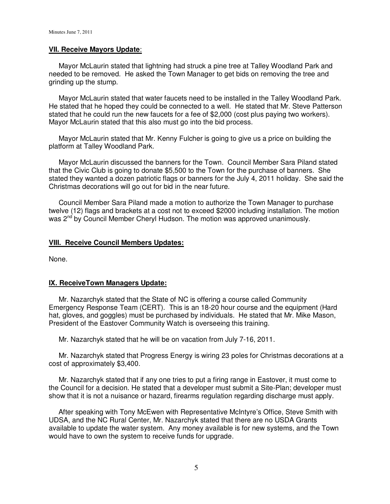#### **VII. Receive Mayors Update**:

 Mayor McLaurin stated that lightning had struck a pine tree at Talley Woodland Park and needed to be removed. He asked the Town Manager to get bids on removing the tree and grinding up the stump.

 Mayor McLaurin stated that water faucets need to be installed in the Talley Woodland Park. He stated that he hoped they could be connected to a well. He stated that Mr. Steve Patterson stated that he could run the new faucets for a fee of \$2,000 (cost plus paying two workers). Mayor McLaurin stated that this also must go into the bid process.

 Mayor McLaurin stated that Mr. Kenny Fulcher is going to give us a price on building the platform at Talley Woodland Park.

 Mayor McLaurin discussed the banners for the Town. Council Member Sara Piland stated that the Civic Club is going to donate \$5,500 to the Town for the purchase of banners. She stated they wanted a dozen patriotic flags or banners for the July 4, 2011 holiday. She said the Christmas decorations will go out for bid in the near future.

 Council Member Sara Piland made a motion to authorize the Town Manager to purchase twelve (12) flags and brackets at a cost not to exceed \$2000 including installation. The motion was 2<sup>nd</sup> by Council Member Cheryl Hudson. The motion was approved unanimously.

#### **VIII. Receive Council Members Updates:**

None.

### **IX. ReceiveTown Managers Update:**

 Mr. Nazarchyk stated that the State of NC is offering a course called Community Emergency Response Team (CERT). This is an 18-20 hour course and the equipment (Hard hat, gloves, and goggles) must be purchased by individuals. He stated that Mr. Mike Mason, President of the Eastover Community Watch is overseeing this training.

Mr. Nazarchyk stated that he will be on vacation from July 7-16, 2011.

 Mr. Nazarchyk stated that Progress Energy is wiring 23 poles for Christmas decorations at a cost of approximately \$3,400.

 Mr. Nazarchyk stated that if any one tries to put a firing range in Eastover, it must come to the Council for a decision. He stated that a developer must submit a Site-Plan; developer must show that it is not a nuisance or hazard, firearms regulation regarding discharge must apply.

 After speaking with Tony McEwen with Representative McIntyre's Office, Steve Smith with UDSA, and the NC Rural Center, Mr. Nazarchyk stated that there are no USDA Grants available to update the water system. Any money available is for new systems, and the Town would have to own the system to receive funds for upgrade.